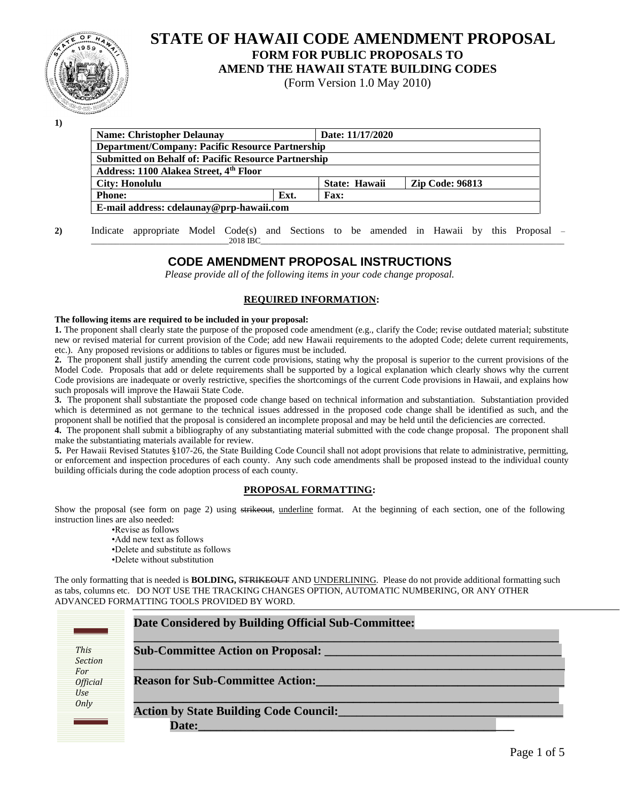

# **STATE OF HAWAII CODE AMENDMENT PROPOSAL FORM FOR PUBLIC PROPOSALS TO**

**AMEND THE HAWAII STATE BUILDING CODES**

(Form Version 1.0 May 2010)

**1)**

| <b>Name: Christopher Delaunav</b>                           |      | Date: 11/17/2020 |                        |  |
|-------------------------------------------------------------|------|------------------|------------------------|--|
| <b>Department/Company: Pacific Resource Partnership</b>     |      |                  |                        |  |
| <b>Submitted on Behalf of: Pacific Resource Partnership</b> |      |                  |                        |  |
| Address: 1100 Alakea Street, 4th Floor                      |      |                  |                        |  |
| City: Honolulu                                              |      | State: Hawaii    | <b>Zip Code: 96813</b> |  |
| <b>Phone:</b>                                               | Ext. | <b>Fax:</b>      |                        |  |
| E-mail address: cdelaunay@prp-hawaii.com                    |      |                  |                        |  |
|                                                             |      |                  |                        |  |

# **CODE AMENDMENT PROPOSAL INSTRUCTIONS**

*Please provide all of the following items in your code change proposal.*

#### **REQUIRED INFORMATION:**

#### **The following items are required to be included in your proposal:**

**1.** The proponent shall clearly state the purpose of the proposed code amendment (e.g., clarify the Code; revise outdated material; substitute new or revised material for current provision of the Code; add new Hawaii requirements to the adopted Code; delete current requirements, etc.). Any proposed revisions or additions to tables or figures must be included.

**2.** The proponent shall justify amending the current code provisions, stating why the proposal is superior to the current provisions of the Model Code. Proposals that add or delete requirements shall be supported by a logical explanation which clearly shows why the current Code provisions are inadequate or overly restrictive, specifies the shortcomings of the current Code provisions in Hawaii, and explains how such proposals will improve the Hawaii State Code.

**3.** The proponent shall substantiate the proposed code change based on technical information and substantiation. Substantiation provided which is determined as not germane to the technical issues addressed in the proposed code change shall be identified as such, and the proponent shall be notified that the proposal is considered an incomplete proposal and may be held until the deficiencies are corrected.

**4.** The proponent shall submit a bibliography of any substantiating material submitted with the code change proposal. The proponent shall make the substantiating materials available for review.

**5.** Per Hawaii Revised Statutes §107-26, the State Building Code Council shall not adopt provisions that relate to administrative, permitting, or enforcement and inspection procedures of each county. Any such code amendments shall be proposed instead to the individual county building officials during the code adoption process of each county.

#### **PROPOSAL FORMATTING:**

Show the proposal (see form on page 2) using strikeout, underline format. At the beginning of each section, one of the following instruction lines are also needed:

•Revise as follows

- •Add new text as follows
- •Delete and substitute as follows
- •Delete without substitution

The only formatting that is needed is **BOLDING,** STRIKEOUT AND UNDERLINING. Please do not provide additional formatting such as tabs, columns etc. DO NOT USE THE TRACKING CHANGES OPTION, AUTOMATIC NUMBERING, OR ANY OTHER ADVANCED FORMATTING TOOLS PROVIDED BY WORD.

|                               | Date Considered by Building Official Sub-Committee:    |
|-------------------------------|--------------------------------------------------------|
| This<br><b>Section</b>        | <b>Sub-Committee Action on Proposal:</b>               |
| For<br><b>Official</b><br>Use | <b>Reason for Sub-Committee Action:</b>                |
| Only                          | <b>Action by State Building Code Council:</b><br>Date: |

**<sup>2)</sup>** Indicate appropriate Model Code(s) and Sections to be amended in Hawaii by this Proposal –  $\_2018 \text{ BE}$   $\_2018 \text{ BE}$   $\_2018 \text{ BE}$   $\_2018 \text{ BE}$   $\_2018 \text{ BE}$   $\_2018 \text{ BE}$   $\_2018 \text{ BE}$   $\_2018 \text{ BE}$   $\_2018 \text{ BE}$   $\_2018 \text{ BE}$   $\_2018 \text{ BE}$   $\_2018 \text{ BE}$   $\_2018 \text{ BE}$   $\_2018 \text{ BE}$   $\_2018 \text{ BE}$   $\_2018 \text{ BE}$   $\_2018 \text{ BE}$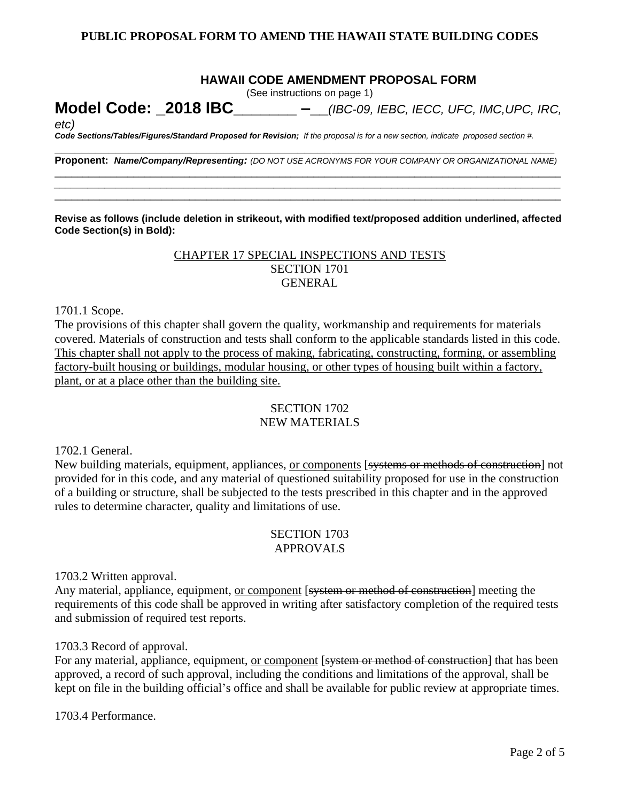## **HAWAII CODE AMENDMENT PROPOSAL FORM**

(See instructions on page 1)

**Model Code: \_2018 IBC\_\_\_\_\_\_\_ –\_\_***(IBC-09, IEBC, IECC, UFC, IMC,UPC, IRC,* 

*etc)*

*Code Sections/Tables/Figures/Standard Proposed for Revision; If the proposal is for a new section, indicate proposed section #.* **\_\_\_\_\_\_\_\_\_\_\_\_\_\_\_\_\_\_\_\_\_\_\_\_\_\_\_\_\_\_\_\_\_\_\_\_\_\_\_\_\_\_\_\_\_\_\_\_\_\_\_\_\_\_\_\_\_\_\_\_\_\_\_\_\_\_\_\_\_\_\_\_\_\_**

**Proponent:** *Name/Company/Representing: (DO NOT USE ACRONYMS FOR YOUR COMPANY OR ORGANIZATIONAL NAME)* \_\_\_\_\_\_\_\_\_\_\_\_\_\_\_\_\_\_\_\_\_\_\_\_\_\_\_\_\_\_\_\_\_\_\_\_\_\_\_\_\_\_\_\_\_\_\_\_\_\_\_\_\_\_\_\_\_\_\_\_\_\_\_\_\_\_\_\_\_\_\_\_\_\_\_\_\_\_\_\_\_\_\_\_\_\_\_\_\_\_

*\_\_\_\_\_\_\_\_\_\_\_\_\_\_\_\_\_\_\_\_\_\_\_\_\_\_\_\_\_\_\_\_\_\_\_\_\_\_\_\_\_\_\_\_\_\_\_\_\_\_\_\_\_\_\_\_\_\_\_\_\_\_\_\_\_\_\_\_\_\_\_\_\_\_\_\_\_\_\_\_\_\_\_\_\_\_\_\_\_\_* \_\_\_\_\_\_\_\_\_\_\_\_\_\_\_\_\_\_\_\_\_\_\_\_\_\_\_\_\_\_\_\_\_\_\_\_\_\_\_\_\_\_\_\_\_\_\_\_\_\_\_\_\_\_\_\_\_\_\_\_\_\_\_\_\_\_\_\_\_\_\_\_\_\_\_\_\_\_\_\_\_\_\_\_\_\_\_\_\_\_

**Revise as follows (include deletion in strikeout, with modified text/proposed addition underlined, affected Code Section(s) in Bold):**

# CHAPTER 17 SPECIAL INSPECTIONS AND TESTS SECTION 1701 GENERAL

1701.1 Scope.

The provisions of this chapter shall govern the quality, workmanship and requirements for materials covered. Materials of construction and tests shall conform to the applicable standards listed in this code. This chapter shall not apply to the process of making, fabricating, constructing, forming, or assembling factory-built housing or buildings, modular housing, or other types of housing built within a factory, plant, or at a place other than the building site.

# SECTION 1702

# NEW MATERIALS

1702.1 General.

New building materials, equipment, appliances, <u>or components</u> [systems or methods of construction] not provided for in this code, and any material of questioned suitability proposed for use in the construction of a building or structure, shall be subjected to the tests prescribed in this chapter and in the approved rules to determine character, quality and limitations of use.

#### SECTION 1703 APPROVALS

1703.2 Written approval.

Any material, appliance, equipment, or component [system or method of construction] meeting the requirements of this code shall be approved in writing after satisfactory completion of the required tests and submission of required test reports.

1703.3 Record of approval.

For any material, appliance, equipment, or component [system or method of construction] that has been approved, a record of such approval, including the conditions and limitations of the approval, shall be kept on file in the building official's office and shall be available for public review at appropriate times.

1703.4 Performance.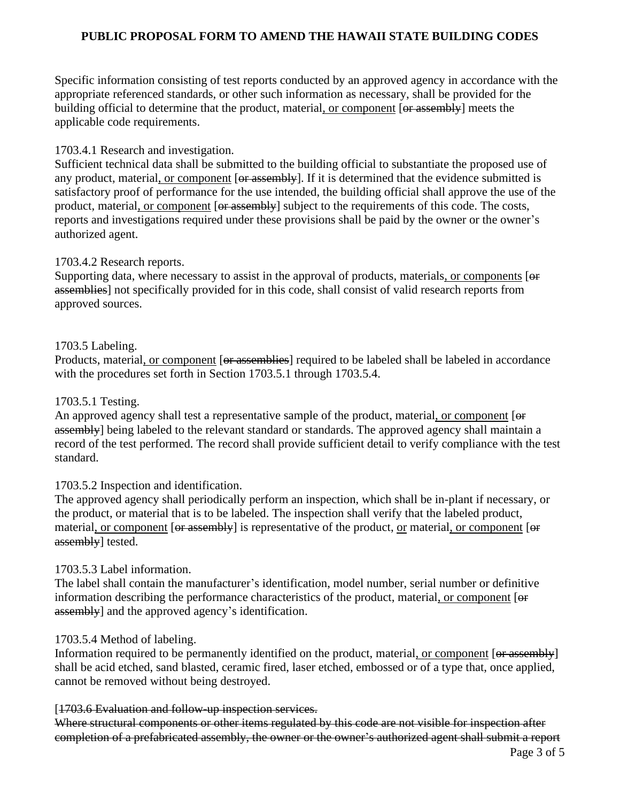Specific information consisting of test reports conducted by an approved agency in accordance with the appropriate referenced standards, or other such information as necessary, shall be provided for the building official to determine that the product, material, or component [or assembly] meets the applicable code requirements.

# 1703.4.1 Research and investigation.

Sufficient technical data shall be submitted to the building official to substantiate the proposed use of any product, material, or component [or assembly]. If it is determined that the evidence submitted is satisfactory proof of performance for the use intended, the building official shall approve the use of the product, material, or component [or assembly] subject to the requirements of this code. The costs, reports and investigations required under these provisions shall be paid by the owner or the owner's authorized agent.

# 1703.4.2 Research reports.

Supporting data, where necessary to assist in the approval of products, materials, or components [or assemblies] not specifically provided for in this code, shall consist of valid research reports from approved sources.

# 1703.5 Labeling.

Products, material, or component [or assemblies] required to be labeled shall be labeled in accordance with the procedures set forth in Section 1703.5.1 through 1703.5.4.

#### 1703.5.1 Testing.

An approved agency shall test a representative sample of the product, material, or component [ $\Theta$ f assembly] being labeled to the relevant standard or standards. The approved agency shall maintain a record of the test performed. The record shall provide sufficient detail to verify compliance with the test standard.

#### 1703.5.2 Inspection and identification.

The approved agency shall periodically perform an inspection, which shall be in-plant if necessary, or the product, or material that is to be labeled. The inspection shall verify that the labeled product, material, or component [or assembly] is representative of the product, or material, or component [or assembly] tested.

#### 1703.5.3 Label information.

The label shall contain the manufacturer's identification, model number, serial number or definitive information describing the performance characteristics of the product, material, or component [or assembly] and the approved agency's identification.

#### 1703.5.4 Method of labeling.

Information required to be permanently identified on the product, material, or component [or assembly] shall be acid etched, sand blasted, ceramic fired, laser etched, embossed or of a type that, once applied, cannot be removed without being destroyed.

#### [1703.6 Evaluation and follow-up inspection services.

Where structural components or other items regulated by this code are not visible for inspection after completion of a prefabricated assembly, the owner or the owner's authorized agent shall submit a report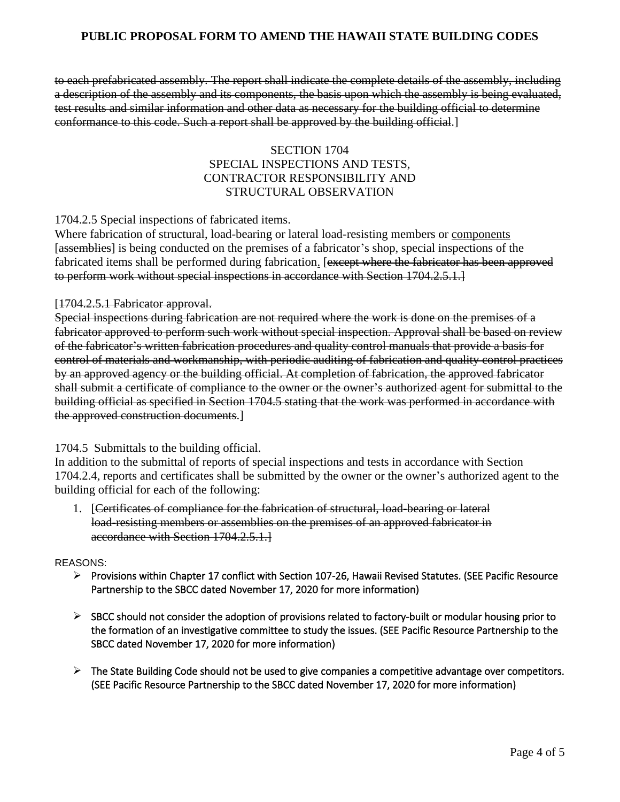to each prefabricated assembly. The report shall indicate the complete details of the assembly, including a description of the assembly and its components, the basis upon which the assembly is being evaluated, test results and similar information and other data as necessary for the building official to determine conformance to this code. Such a report shall be approved by the building official.]

## SECTION 1704 SPECIAL INSPECTIONS AND TESTS, CONTRACTOR RESPONSIBILITY AND STRUCTURAL OBSERVATION

1704.2.5 Special inspections of fabricated items.

Where fabrication of structural, load-bearing or lateral load-resisting members or components [assemblies] is being conducted on the premises of a fabricator's shop, special inspections of the fabricated items shall be performed during fabrication. [except where the fabricator has been approved to perform work without special inspections in accordance with Section 1704.2.5.1.]

#### [1704.2.5.1 Fabricator approval.

Special inspections during fabrication are not required where the work is done on the premises of a fabricator approved to perform such work without special inspection. Approval shall be based on review of the fabricator's written fabrication procedures and quality control manuals that provide a basis for control of materials and workmanship, with periodic auditing of fabrication and quality control practices by an approved agency or the building official. At completion of fabrication, the approved fabricator shall submit a certificate of compliance to the owner or the owner's authorized agent for submittal to the building official as specified in Section 1704.5 stating that the work was performed in accordance with the approved construction documents.]

#### 1704.5 Submittals to the building official.

In addition to the submittal of reports of special inspections and tests in accordance with Section 1704.2.4, reports and certificates shall be submitted by the owner or the owner's authorized agent to the building official for each of the following:

1. [Certificates of compliance for the fabrication of structural, load-bearing or lateral load-resisting members or assemblies on the premises of an approved fabricator in accordance with Section 1704.2.5.1.

#### REASONS:

- ➢ Provisions within Chapter 17 conflict with Section 107-26, Hawaii Revised Statutes. (SEE Pacific Resource Partnership to the SBCC dated November 17, 2020 for more information)
- $\triangleright$  SBCC should not consider the adoption of provisions related to factory-built or modular housing prior to the formation of an investigative committee to study the issues. (SEE Pacific Resource Partnership to the SBCC dated November 17, 2020 for more information)
- $\triangleright$  The State Building Code should not be used to give companies a competitive advantage over competitors. (SEE Pacific Resource Partnership to the SBCC dated November 17, 2020 for more information)